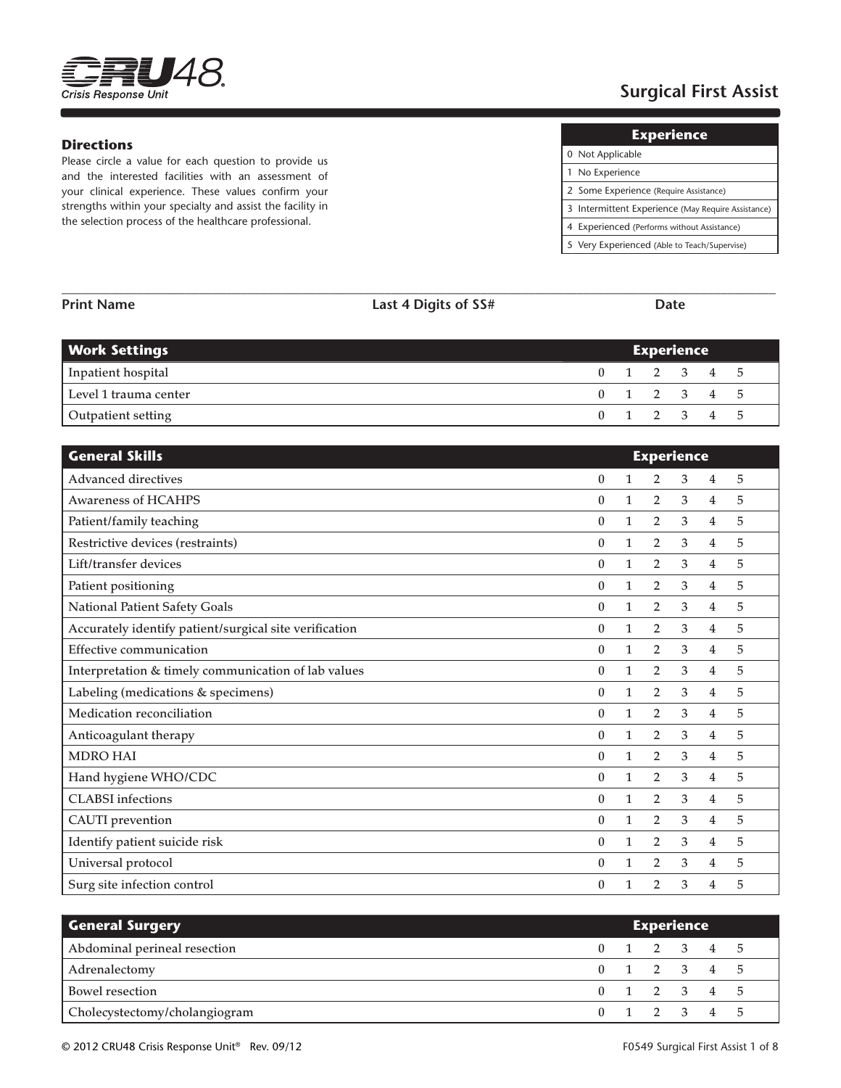

# **Surgical First Assist**

#### **Directions**

Please circle a value for each question to provide us and the interested facilities with an assessment of your clinical experience. These values confirm your strengths within your specialty and assist the facility in the selection process of the healthcare professional.

| <b>Experience</b>                                  |
|----------------------------------------------------|
| 0 Not Applicable                                   |
| 1 No Experience                                    |
| 2 Some Experience (Require Assistance)             |
| 3 Intermittent Experience (May Require Assistance) |
|                                                    |

 $\overline{0}$ 

 $\frac{1}{2}$  $\frac{2}{3}$ 

4 Experienced (Performs without Assistance) 5 Very Experienced (Able to Teach/Supervise)

| <b>Work Settings</b>                                   |                  |              | <b>Experience</b> |   |                |   |
|--------------------------------------------------------|------------------|--------------|-------------------|---|----------------|---|
| Inpatient hospital                                     | $\bf{0}$         | $\mathbf{1}$ | $\overline{2}$    | 3 | 4              | 5 |
| Level 1 trauma center                                  | $\boldsymbol{0}$ | $\mathbf{1}$ | $\overline{2}$    | 3 | 4              | 5 |
| Outpatient setting                                     | $\bf{0}$         | $\mathbf{1}$ | $\overline{2}$    | 3 | 4              | 5 |
| <b>General Skills</b>                                  |                  |              | <b>Experience</b> |   |                |   |
| <b>Advanced directives</b>                             | $\boldsymbol{0}$ | $\mathbf{1}$ | 2                 | 3 | 4              | 5 |
| <b>Awareness of HCAHPS</b>                             | $\boldsymbol{0}$ | $\mathbf{1}$ | $\overline{2}$    | 3 | $\overline{4}$ | 5 |
| Patient/family teaching                                | $\bf{0}$         | $\mathbf{1}$ | 2                 | 3 | $\overline{4}$ | 5 |
| Restrictive devices (restraints)                       | $\boldsymbol{0}$ | $\mathbf{1}$ | $\overline{2}$    | 3 | 4              | 5 |
| Lift/transfer devices                                  | $\boldsymbol{0}$ | $\mathbf{1}$ | $\overline{2}$    | 3 | $\overline{4}$ | 5 |
| Patient positioning                                    | $\boldsymbol{0}$ | $\mathbf{1}$ | 2                 | 3 | $\overline{4}$ | 5 |
| National Patient Safety Goals                          | $\boldsymbol{0}$ | $\mathbf{1}$ | $\overline{2}$    | 3 | 4              | 5 |
| Accurately identify patient/surgical site verification | $\boldsymbol{0}$ | $\mathbf{1}$ | 2                 | 3 | $\overline{4}$ | 5 |
| Effective communication                                | $\boldsymbol{0}$ | $\mathbf{1}$ | $\overline{2}$    | 3 | 4              | 5 |
| Interpretation & timely communication of lab values    | $\boldsymbol{0}$ | $\mathbf{1}$ | $\overline{2}$    | 3 | $\overline{4}$ | 5 |
| Labeling (medications & specimens)                     | $\boldsymbol{0}$ | $\mathbf{1}$ | $\overline{2}$    | 3 | $\overline{4}$ | 5 |
| Medication reconciliation                              | $\boldsymbol{0}$ | $\mathbf{1}$ | 2                 | 3 | $\overline{4}$ | 5 |
| Anticoagulant therapy                                  | $\boldsymbol{0}$ | $\mathbf{1}$ | 2                 | 3 | $\overline{4}$ | 5 |
| <b>MDRO HAI</b>                                        | $\boldsymbol{0}$ | $\mathbf{1}$ | $\overline{2}$    | 3 | $\overline{4}$ | 5 |
| Hand hygiene WHO/CDC                                   | $\boldsymbol{0}$ | $\mathbf{1}$ | $\overline{2}$    | 3 | $\overline{4}$ | 5 |
| <b>CLABSI</b> infections                               | $\boldsymbol{0}$ | $\mathbf{1}$ | $\overline{2}$    | 3 | $\overline{4}$ | 5 |
| <b>CAUTI</b> prevention                                | $\boldsymbol{0}$ | $\mathbf{1}$ | $\overline{2}$    | 3 | $\overline{4}$ | 5 |
| Identify patient suicide risk                          | $\boldsymbol{0}$ | $\mathbf{1}$ | $\overline{2}$    | 3 | 4              | 5 |
| Universal protocol                                     | $\boldsymbol{0}$ | $\mathbf{1}$ | 2                 | 3 | 4              | 5 |
| Surg site infection control                            | $\boldsymbol{0}$ | 1            | $\overline{2}$    | 3 | $\overline{4}$ | 5 |

**\_\_\_\_\_\_\_\_\_\_\_\_\_\_\_\_\_\_\_\_\_\_\_\_\_\_\_\_\_\_\_\_\_\_\_\_\_\_\_\_\_\_\_\_\_\_\_\_\_\_\_\_\_\_\_\_\_\_\_\_\_\_\_\_\_\_\_\_\_\_\_\_\_\_\_\_\_\_\_\_\_\_\_\_\_\_\_\_\_\_\_\_\_\_\_\_\_\_\_\_\_\_\_\_**

**Print Name Last 4 Digits of SS# Date**

| <b>General Surgery</b>        | <b>Experience</b> |  |                         |  |  |  |  |
|-------------------------------|-------------------|--|-------------------------|--|--|--|--|
| Abdominal perineal resection  |                   |  | $0 \t1 \t2 \t3 \t4 \t5$ |  |  |  |  |
| Adrenalectomy                 |                   |  | 0 1 2 3 4 5             |  |  |  |  |
| Bowel resection               |                   |  | 0 1 2 3 4 5             |  |  |  |  |
| Cholecystectomy/cholangiogram |                   |  | $0 \t1 \t2 \t3 \t4 \t5$ |  |  |  |  |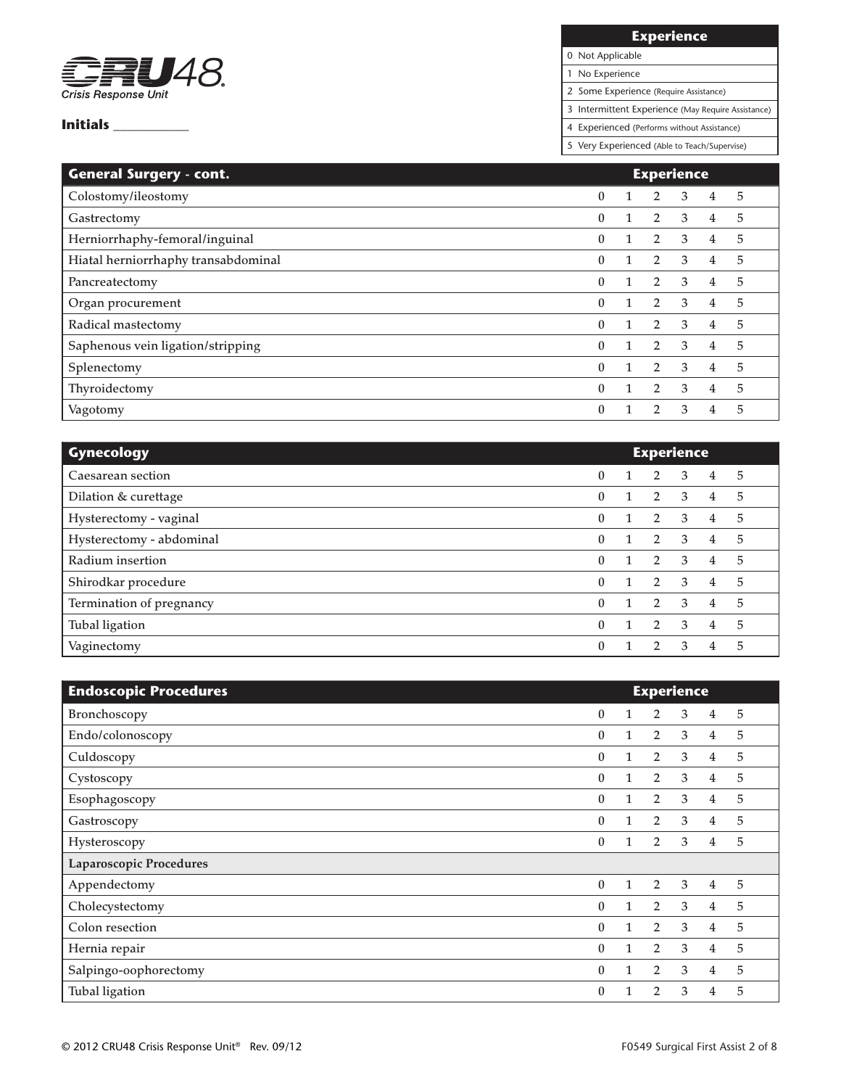

**Experience**

0 Not Applicable

1 No Experience

2 Some Experience (Require Assistance)

3 Intermittent Experience (May Require Assistance)

4 Experienced (Performs without Assistance)

| <b>General Surgery - cont.</b>      | <b>Experience</b> |              |                |               |   |   |
|-------------------------------------|-------------------|--------------|----------------|---------------|---|---|
| Colostomy/ileostomy                 | $\theta$          | $\mathbf{1}$ | $\overline{2}$ | 3             | 4 | 5 |
| Gastrectomy                         | $\theta$          | $\mathbf{1}$ | $\overline{2}$ | 3             | 4 | 5 |
| Herniorrhaphy-femoral/inguinal      | $\theta$          | $\mathbf{1}$ | $\overline{2}$ | 3             | 4 | 5 |
| Hiatal herniorrhaphy transabdominal | $\theta$          | $\mathbf{1}$ | $\overline{2}$ | 3             | 4 | 5 |
| Pancreatectomy                      | $\theta$          | $\mathbf{1}$ | $\overline{2}$ | 3             | 4 | 5 |
| Organ procurement                   | $\theta$          | $\mathbf{1}$ | $\overline{2}$ | 3             | 4 | 5 |
| Radical mastectomy                  | $\theta$          | $\mathbf{1}$ | $\overline{2}$ | 3             | 4 | 5 |
| Saphenous vein ligation/stripping   | $\Omega$          | $\mathbf{1}$ | $\overline{2}$ | $\mathcal{E}$ | 4 | 5 |
| Splenectomy                         | $\theta$          | $\mathbf{1}$ | $\overline{2}$ | 3             | 4 | 5 |
| Thyroidectomy                       | $\theta$          | $\mathbf{1}$ | $\overline{2}$ | 3             | 4 | 5 |
| Vagotomy                            | $\theta$          |              | $\mathcal{P}$  | 3             | 4 | 5 |

| <b>Gynecology</b>        | <b>Experience</b> |  |                |    |   |   |
|--------------------------|-------------------|--|----------------|----|---|---|
| Caesarean section        | $\mathbf{0}$      |  | $\overline{2}$ | 3  | 4 | 5 |
| Dilation & curettage     | $\mathbf{0}$      |  | $\overline{2}$ | 3  | 4 | 5 |
| Hysterectomy - vaginal   | $\mathbf{0}$      |  | $\overline{2}$ | 3  | 4 | 5 |
| Hysterectomy - abdominal | $\mathbf{0}$      |  | 2              | 3  | 4 | 5 |
| Radium insertion         | $\mathbf{0}$      |  | $\overline{2}$ | -3 | 4 | 5 |
| Shirodkar procedure      | $\Omega$          |  | $\overline{2}$ | 3  | 4 | 5 |
| Termination of pregnancy | $\Omega$          |  | $\overline{2}$ | 3  | 4 | 5 |
| Tubal ligation           | $\theta$          |  | 2              | 3  | 4 | 5 |
| Vaginectomy              | $\theta$          |  |                | 3  | 4 | 5 |

| <b>Endoscopic Procedures</b> | <b>Experience</b> |   |                |   |                |   |
|------------------------------|-------------------|---|----------------|---|----------------|---|
| Bronchoscopy                 | $\bf{0}$          |   | $\overline{2}$ | 3 | 4              | 5 |
| Endo/colonoscopy             | $\theta$          | 1 | $\overline{2}$ | 3 | 4              | 5 |
| Culdoscopy                   | $\theta$          |   | $\overline{2}$ | 3 | 4              | 5 |
| Cystoscopy                   | $\bf{0}$          |   | 2              | 3 | $\overline{4}$ | 5 |
| Esophagoscopy                | $\theta$          |   | $\overline{2}$ | 3 | 4              | 5 |
| Gastroscopy                  | $\theta$          | 1 | $\overline{2}$ | 3 | $\overline{4}$ | 5 |
| Hysteroscopy                 | $\theta$          |   | $\overline{2}$ | 3 | 4              | 5 |
| Laparoscopic Procedures      |                   |   |                |   |                |   |
| Appendectomy                 | $\theta$          | 1 | $\overline{2}$ | 3 | 4              | 5 |
| Cholecystectomy              | $\theta$          | 1 | $\overline{2}$ | 3 | $\overline{4}$ | 5 |
| Colon resection              | $\mathbf{0}$      |   | $\overline{2}$ | 3 | 4              | 5 |
| Hernia repair                | $\theta$          | 1 | $\overline{2}$ | 3 | $\overline{4}$ | 5 |
| Salpingo-oophorectomy        | $\mathbf{0}$      |   | $\overline{2}$ | 3 | 4              | 5 |
| Tubal ligation               | $\mathbf{0}$      |   | $\overline{2}$ | 3 | 4              | 5 |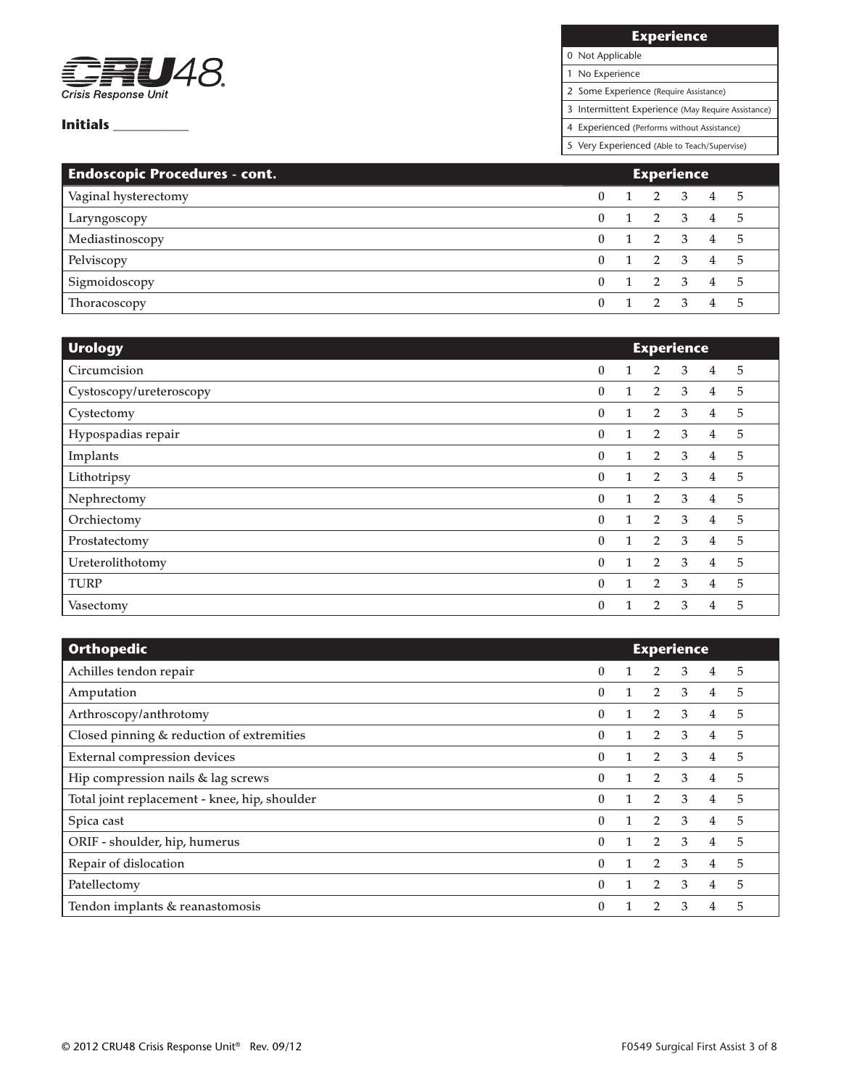

**Experience**

0 Not Applicable 1 No Experience

2 Some Experience (Require Assistance)

3 Intermittent Experience (May Require Assistance)

4 Experienced (Performs without Assistance)

| <b>Endoscopic Procedures - cont.</b> | <b>Experience</b> |  |  |  |                     |  |
|--------------------------------------|-------------------|--|--|--|---------------------|--|
| Vaginal hysterectomy                 | $\mathbf{0}$      |  |  |  | 1 2 3 4 5           |  |
| Laryngoscopy                         | $\mathbf{0}$      |  |  |  | 1 2 3 4 5           |  |
| Mediastinoscopy                      | $\Omega$          |  |  |  | 1 2 3 4 5           |  |
| Pelviscopy                           | 0                 |  |  |  | $1 \t2 \t3 \t4 \t5$ |  |
| Sigmoidoscopy                        | 0                 |  |  |  | 1 2 3 4 5           |  |
| Thoracoscopy                         |                   |  |  |  | $1 \t2 \t3 \t4 \t5$ |  |

| <b>Urology</b>          | <b>Experience</b> |              |                |   |                |   |
|-------------------------|-------------------|--------------|----------------|---|----------------|---|
| Circumcision            | $\bf{0}$          | 1            | $\overline{2}$ | 3 | 4              | 5 |
| Cystoscopy/ureteroscopy | $\bf{0}$          | 1            | 2              | 3 | 4              | 5 |
| Cystectomy              | $\bf{0}$          | 1            | 2              | 3 | 4              | 5 |
| Hypospadias repair      | $\bf{0}$          | 1            | $\overline{2}$ | 3 | $\overline{4}$ | 5 |
| Implants                | 0                 | 1            | $\overline{2}$ | 3 | $\overline{4}$ | 5 |
| Lithotripsy             | $\bf{0}$          | 1            | $\overline{2}$ | 3 | 4              | 5 |
| Nephrectomy             | $\bf{0}$          | 1            | $\overline{2}$ | 3 | 4              | 5 |
| Orchiectomy             | 0                 | 1            | $\overline{2}$ | 3 | 4              | 5 |
| Prostatectomy           | $\bf{0}$          | $\mathbf{1}$ | 2              | 3 | $\overline{4}$ | 5 |
| Ureterolithotomy        | $\bf{0}$          | 1            | $\overline{2}$ | 3 | 4              | 5 |
| <b>TURP</b>             | $\theta$          | 1            | 2              | 3 | $\overline{4}$ | 5 |
| Vasectomy               | $\boldsymbol{0}$  | 1            | 2              | 3 | 4              | 5 |

| <b>Orthopedic</b>                             | <b>Experience</b> |  |                |   |   |   |
|-----------------------------------------------|-------------------|--|----------------|---|---|---|
| Achilles tendon repair                        | $\theta$          |  | 2              | 3 | 4 | 5 |
| Amputation                                    | $\mathbf{0}$      |  | $\overline{2}$ | 3 | 4 | 5 |
| Arthroscopy/anthrotomy                        | $\mathbf{0}$      |  | $\overline{2}$ | 3 | 4 | 5 |
| Closed pinning & reduction of extremities     | $\mathbf{0}$      |  | $\overline{2}$ | 3 | 4 | 5 |
| <b>External compression devices</b>           | $\Omega$          |  | $\overline{2}$ | 3 | 4 | 5 |
| Hip compression nails & lag screws            | $\mathbf{0}$      |  | $2^{\circ}$    | 3 | 4 | 5 |
| Total joint replacement - knee, hip, shoulder | $\Omega$          |  | 2              | 3 | 4 | 5 |
| Spica cast                                    | $\Omega$          |  | 2              | 3 | 4 | 5 |
| ORIF - shoulder, hip, humerus                 | $\Omega$          |  | $\overline{2}$ | 3 | 4 | 5 |
| Repair of dislocation                         | 0                 |  | $\overline{2}$ | 3 | 4 | 5 |
| Patellectomy                                  | $\mathbf{0}$      |  | $\overline{2}$ | 3 | 4 | 5 |
| Tendon implants & reanastomosis               | $\Omega$          |  | $\mathbf{2}$   | 3 | 4 | 5 |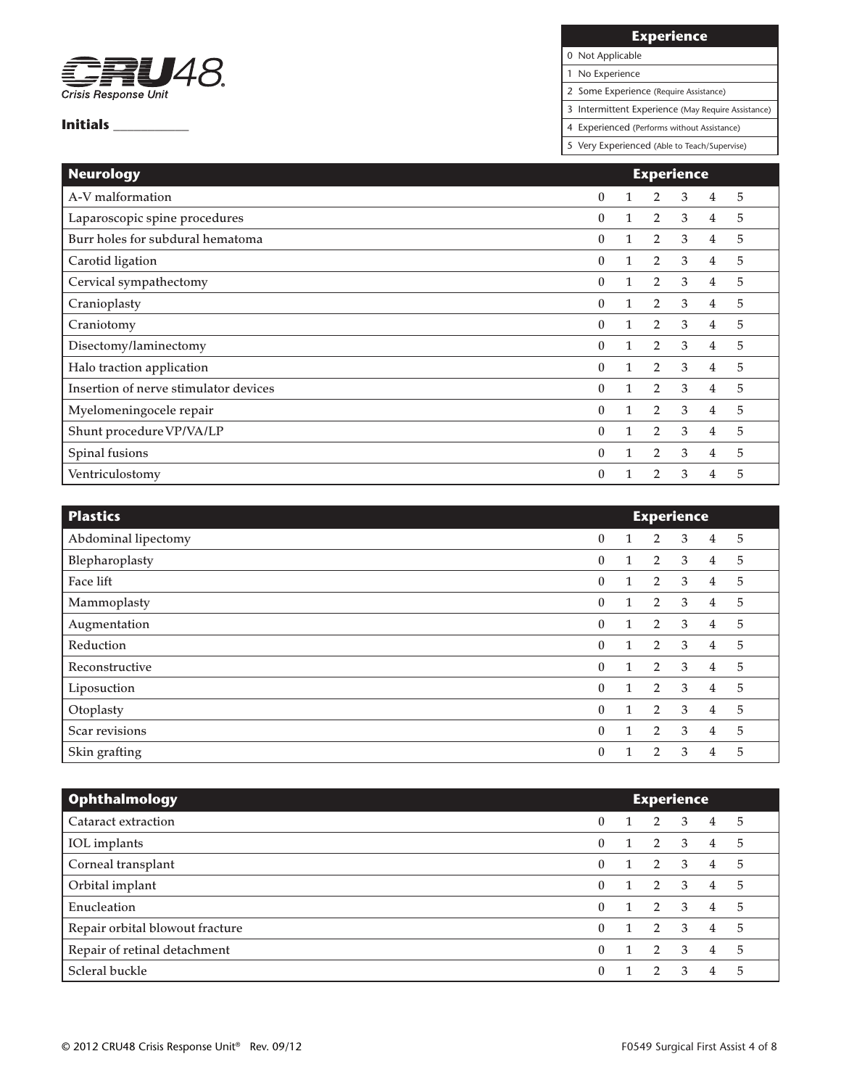

**Experience**

0 Not Applicable 1 No Experience

2 Some Experience (Require Assistance)

3 Intermittent Experience (May Require Assistance)

4 Experienced (Performs without Assistance)

| <b>Neurology</b>                      | <b>Experience</b> |   |                |   |   |   |  |  |  |
|---------------------------------------|-------------------|---|----------------|---|---|---|--|--|--|
| A-V malformation                      | $\mathbf{0}$      |   | $\overline{2}$ | 3 | 4 | 5 |  |  |  |
| Laparoscopic spine procedures         | $\mathbf{0}$      |   | $\overline{2}$ | 3 | 4 | 5 |  |  |  |
| Burr holes for subdural hematoma      | $\theta$          |   | $\overline{2}$ | 3 | 4 | 5 |  |  |  |
| Carotid ligation                      | $\theta$          |   | $\overline{2}$ | 3 | 4 | 5 |  |  |  |
| Cervical sympathectomy                | $\theta$          |   | $\overline{2}$ | 3 | 4 | 5 |  |  |  |
| Cranioplasty                          | $\theta$          | 1 | $\overline{2}$ | 3 | 4 | 5 |  |  |  |
| Craniotomy                            | $\theta$          |   | $\overline{2}$ | 3 | 4 | 5 |  |  |  |
| Disectomy/laminectomy                 | $\theta$          | 1 | $\overline{2}$ | 3 | 4 | 5 |  |  |  |
| Halo traction application             | $\theta$          |   | $\overline{2}$ | 3 | 4 | 5 |  |  |  |
| Insertion of nerve stimulator devices | $\theta$          | 1 | $\overline{2}$ | 3 | 4 | 5 |  |  |  |
| Myelomeningocele repair               | $\theta$          |   | $\overline{2}$ | 3 | 4 | 5 |  |  |  |
| Shunt procedure VP/VA/LP              | $\theta$          | 1 | $\overline{2}$ | 3 | 4 | 5 |  |  |  |
| Spinal fusions                        | $\theta$          |   | $\overline{2}$ | 3 | 4 | 5 |  |  |  |
| Ventriculostomy                       | $\theta$          |   | $\overline{2}$ | 3 | 4 | 5 |  |  |  |

| <b>Plastics</b>     | <b>Experience</b> |              |                |   |                |   |
|---------------------|-------------------|--------------|----------------|---|----------------|---|
| Abdominal lipectomy | $\mathbf{0}$      | $\mathbf{1}$ | $\overline{2}$ | 3 | $\overline{4}$ | 5 |
| Blepharoplasty      | $\mathbf{0}$      | 1            | $\overline{2}$ | 3 | 4              | 5 |
| Face lift           | $\bf{0}$          | $\mathbf{1}$ | 2              | 3 | $\overline{4}$ | 5 |
| Mammoplasty         | $\mathbf{0}$      | $\mathbf{1}$ | 2              | 3 | $\overline{4}$ | 5 |
| Augmentation        | $\bf{0}$          | 1            | 2              | 3 | $\overline{4}$ | 5 |
| Reduction           | $\bf{0}$          | $\mathbf{1}$ | 2              | 3 | $\overline{4}$ | 5 |
| Reconstructive      | $\bf{0}$          | $\mathbf{1}$ | 2              | 3 | $\overline{4}$ | 5 |
| Liposuction         | $\mathbf{0}$      | $\mathbf{1}$ | 2              | 3 | $\overline{4}$ | 5 |
| Otoplasty           | $\bf{0}$          | $\mathbf{1}$ | 2              | 3 | $\overline{4}$ | 5 |
| Scar revisions      | $\boldsymbol{0}$  | 1            | $\overline{2}$ | 3 | $\overline{4}$ | 5 |
| Skin grafting       | 0                 |              | $\overline{2}$ | 3 | 4              | 5 |

| <b>Ophthalmology</b>            | <b>Experience</b> |   |               |                         |                |      |
|---------------------------------|-------------------|---|---------------|-------------------------|----------------|------|
| Cataract extraction             | 0                 |   | 2             | $\overline{3}$          | 4              | $-5$ |
| IOL implants                    | $\mathbf{0}$      | 1 |               | $2 \quad 3$             | 4              | 5    |
| Corneal transplant              | $\mathbf{0}$      |   | $2 \quad 3$   |                         | $\overline{4}$ | 5    |
| Orbital implant                 | $\mathbf{0}$      |   | 2 3           |                         | $\overline{4}$ | 5    |
| Enucleation                     | $\mathbf{0}$      |   | 2 3           |                         | 4              | 5    |
| Repair orbital blowout fracture | $\mathbf{0}$      |   | 2             | $\overline{\mathbf{3}}$ | 4              | 5    |
| Repair of retinal detachment    | $\mathbf{0}$      |   | 2             | $\mathbf{3}$            | $\overline{4}$ | 5    |
| Scleral buckle                  | 0                 |   | $\mathcal{D}$ | 3                       | 4              | 5    |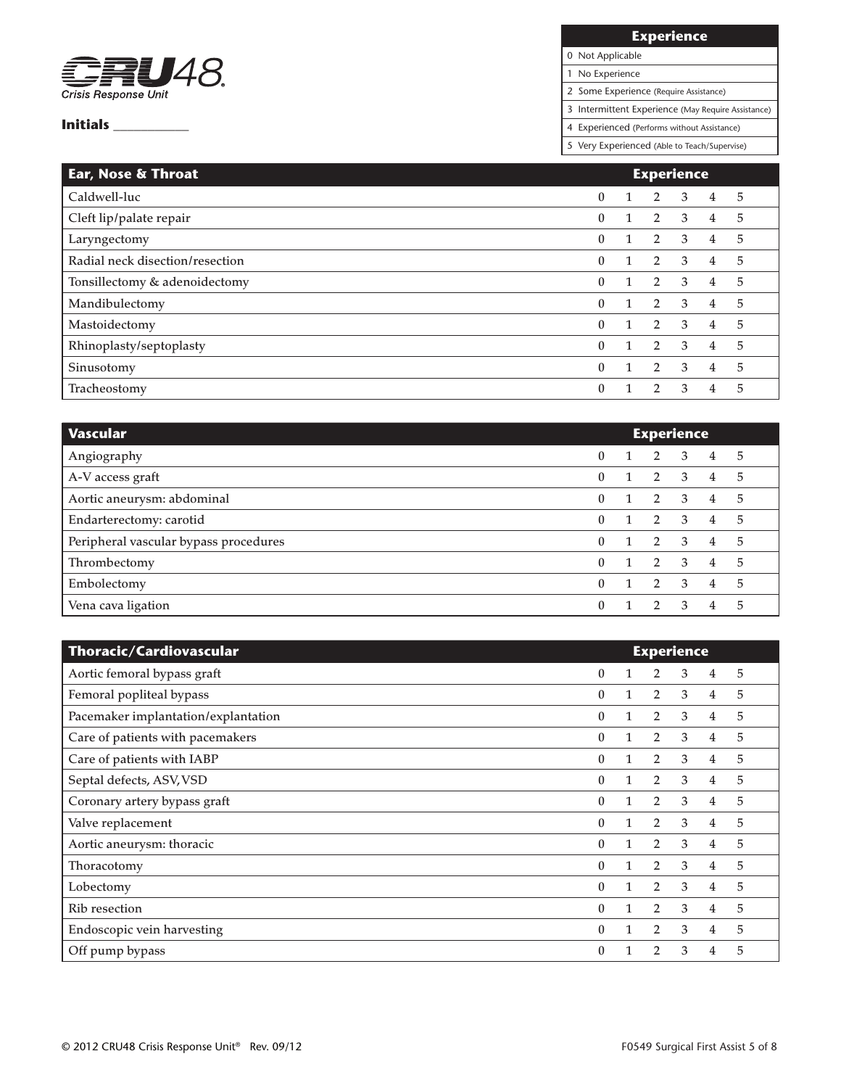

## **Experience**

# 0 Not Applicable

1 No Experience

2 Some Experience (Require Assistance)

3 Intermittent Experience (May Require Assistance)

4 Experienced (Performs without Assistance)

| Ear, Nose & Throat              | <b>Experience</b> |  |                |               |   |   |  |
|---------------------------------|-------------------|--|----------------|---------------|---|---|--|
| Caldwell-luc                    | $\mathbf{0}$      |  | $\overline{2}$ | 3             | 4 | 5 |  |
| Cleft lip/palate repair         | $\theta$          |  | $\overline{2}$ | 3             | 4 | 5 |  |
| Laryngectomy                    | $\mathbf{0}$      |  | $\mathbf{2}$   | 3             | 4 | 5 |  |
| Radial neck disection/resection | $\theta$          |  | $\overline{2}$ | 3             | 4 | 5 |  |
| Tonsillectomy & adenoidectomy   | $\theta$          |  | $\overline{2}$ | 3             | 4 | 5 |  |
| Mandibulectomy                  | $\mathbf{0}$      |  | $\overline{2}$ | 3             | 4 | 5 |  |
| Mastoidectomy                   | $\theta$          |  | 2              | $\mathcal{E}$ | 4 | 5 |  |
| Rhinoplasty/septoplasty         | $\theta$          |  | $\overline{2}$ | $\mathbf{3}$  | 4 | 5 |  |
| Sinusotomy                      | $\theta$          |  | $\mathbf{2}$   | 3             | 4 | 5 |  |
| Tracheostomy                    | $\theta$          |  |                | 3             | 4 | 5 |  |

| Vascular                              | <b>Experience</b> |  |                |                |                |   |  |
|---------------------------------------|-------------------|--|----------------|----------------|----------------|---|--|
| Angiography                           | 0                 |  | 2              | $\overline{3}$ | $\overline{4}$ | 5 |  |
| A-V access graft                      | 0                 |  | $2 \quad 3$    |                | $\overline{4}$ | 5 |  |
| Aortic aneurysm: abdominal            | 0                 |  | $2 \quad 3$    |                | $\overline{4}$ | 5 |  |
| Endarterectomy: carotid               | 0                 |  | 2 3            |                | $\overline{4}$ | 5 |  |
| Peripheral vascular bypass procedures | 0                 |  | 2 3            |                | $\overline{4}$ | 5 |  |
| Thrombectomy                          | 0                 |  | 2 3            |                | 4              | 5 |  |
| Embolectomy                           | O.                |  | $\overline{2}$ | $\mathcal{E}$  | 4              | 5 |  |
| Vena cava ligation                    | 0                 |  | $\mathcal{P}$  | $\mathcal{R}$  | 4              | 5 |  |

| Thoracic/Cardiovascular             | <b>Experience</b> |  |                |   |                |   |  |
|-------------------------------------|-------------------|--|----------------|---|----------------|---|--|
| Aortic femoral bypass graft         | $\theta$          |  | 2              | 3 | 4              | 5 |  |
| Femoral popliteal bypass            | $\theta$          |  | $\overline{2}$ | 3 | 4              | 5 |  |
| Pacemaker implantation/explantation | $\theta$          |  | $\overline{2}$ | 3 | 4              | 5 |  |
| Care of patients with pacemakers    | $\theta$          |  | $\overline{2}$ | 3 | 4              | 5 |  |
| Care of patients with IABP          | $\theta$          |  | $\overline{2}$ | 3 | 4              | 5 |  |
| Septal defects, ASV, VSD            | $\theta$          |  | $\overline{2}$ | 3 | $\overline{4}$ | 5 |  |
| Coronary artery bypass graft        | $\Omega$          |  | $\overline{2}$ | 3 | 4              | 5 |  |
| Valve replacement                   | $\theta$          |  | $\overline{2}$ | 3 | 4              | 5 |  |
| Aortic aneurysm: thoracic           | $\Omega$          |  | $\overline{2}$ | 3 | $\overline{4}$ | 5 |  |
| Thoracotomy                         | $\mathbf{0}$      |  | $\overline{2}$ | 3 | $\overline{4}$ | 5 |  |
| Lobectomy                           | $\mathbf{0}$      |  | $\overline{2}$ | 3 | 4              | 5 |  |
| <b>Rib</b> resection                | $\mathbf{0}$      |  | $\overline{2}$ | 3 | 4              | 5 |  |
| Endoscopic vein harvesting          | $\mathbf{0}$      |  | $\overline{2}$ | 3 | 4              | 5 |  |
| Off pump bypass                     | 0                 |  | 2              | 3 | 4              | 5 |  |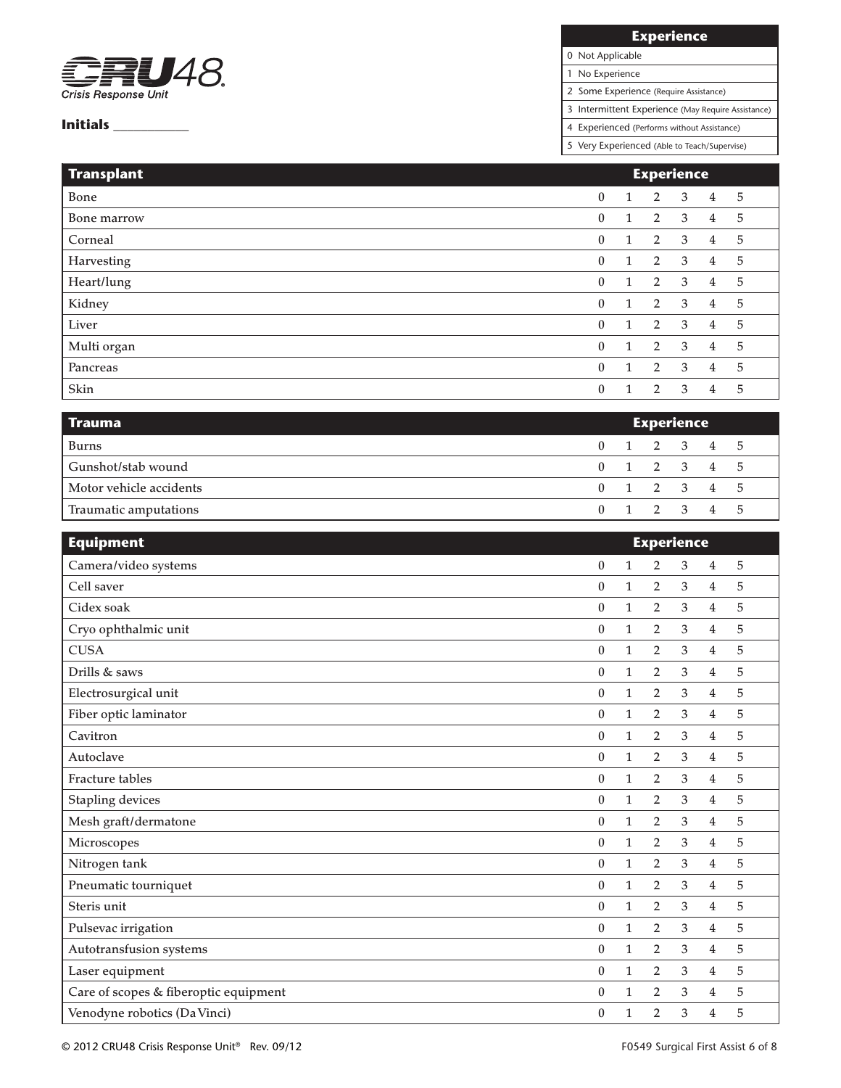

## **Experience**

0 Not Applicable

1 No Experience

2 Some Experience (Require Assistance)

3 Intermittent Experience (May Require Assistance)

4 Experienced (Performs without Assistance)

| <b>Transplant</b> | <b>Experience</b> |              |                |   |                |   |
|-------------------|-------------------|--------------|----------------|---|----------------|---|
| Bone              | $\boldsymbol{0}$  | $\mathbf{1}$ | 2              | 3 | 4              | 5 |
| Bone marrow       | 0                 | 1            | 2              | 3 | 4              | 5 |
| Corneal           | $\bf{0}$          | $\mathbf{1}$ | 2              | 3 | $\overline{4}$ | 5 |
| Harvesting        | $\boldsymbol{0}$  | 1            | 2              | 3 | 4              | 5 |
| Heart/lung        | $\mathbf{0}$      | $\mathbf{1}$ | 2              | 3 | $\overline{4}$ | 5 |
| Kidney            | $\boldsymbol{0}$  | $\mathbf{1}$ | 2              | 3 | $\overline{4}$ | 5 |
| Liver             | $\mathbf{0}$      | $\mathbf{1}$ | $\overline{2}$ | 3 | $\overline{4}$ | 5 |
| Multi organ       | $\bf{0}$          | $\mathbf{1}$ | $\overline{2}$ | 3 | $\overline{4}$ | 5 |
| Pancreas          | $\boldsymbol{0}$  | $\mathbf{1}$ | 2              | 3 | $\overline{4}$ | 5 |
| Skin              | $\mathbf{0}$      | $\mathbf{1}$ | 2              | 3 | 4              | 5 |

| <b>Trauma</b>           | <b>Experience</b> |  |                         |  |  |  |
|-------------------------|-------------------|--|-------------------------|--|--|--|
| Burns                   |                   |  | 0 1 2 3 4 5             |  |  |  |
| Gunshot/stab wound      |                   |  | 0 1 2 3 4 5             |  |  |  |
| Motor vehicle accidents |                   |  | 0 1 2 3 4 5             |  |  |  |
| Traumatic amputations   |                   |  | $0 \t1 \t2 \t3 \t4 \t5$ |  |  |  |

| <b>Equipment</b>                      | <b>Experience</b> |              |                |                |                |   |  |
|---------------------------------------|-------------------|--------------|----------------|----------------|----------------|---|--|
| Camera/video systems                  | $\boldsymbol{0}$  | $\mathbf{1}$ | $\overline{2}$ | 3              | 4              | 5 |  |
| Cell saver                            | $\bf{0}$          | $\mathbf{1}$ | $\overline{2}$ | 3              | 4              | 5 |  |
| Cidex soak                            | $\mathbf{0}$      | $\mathbf{1}$ | $\overline{2}$ | 3              | $\overline{4}$ | 5 |  |
| Cryo ophthalmic unit                  | $\boldsymbol{0}$  | $\mathbf{1}$ | $\overline{2}$ | 3              | $\overline{4}$ | 5 |  |
| <b>CUSA</b>                           | $\mathbf{0}$      | $\mathbf{1}$ | $\overline{2}$ | 3              | $\overline{4}$ | 5 |  |
| Drills & saws                         | $\bf{0}$          | $\mathbf{1}$ | $\overline{2}$ | 3              | 4              | 5 |  |
| Electrosurgical unit                  | $\bf{0}$          | $\mathbf{1}$ | $\overline{2}$ | 3              | $\overline{4}$ | 5 |  |
| Fiber optic laminator                 | $\boldsymbol{0}$  | $\mathbf{1}$ | 2              | 3              | 4              | 5 |  |
| Cavitron                              | $\bf{0}$          | $\mathbf{1}$ | $\overline{2}$ | 3              | 4              | 5 |  |
| Autoclave                             | $\boldsymbol{0}$  | $\mathbf{1}$ | $\overline{2}$ | 3              | 4              | 5 |  |
| Fracture tables                       | $\bf{0}$          | $\mathbf{1}$ | $\overline{2}$ | 3              | $\overline{4}$ | 5 |  |
| Stapling devices                      | $\theta$          | $\mathbf{1}$ | $\overline{2}$ | 3              | $\overline{4}$ | 5 |  |
| Mesh graft/dermatone                  | $\boldsymbol{0}$  | $\mathbf{1}$ | 2              | $\mathfrak{Z}$ | 4              | 5 |  |
| Microscopes                           | $\bf{0}$          | $\mathbf{1}$ | 2              | $\mathfrak{Z}$ | 4              | 5 |  |
| Nitrogen tank                         | $\boldsymbol{0}$  | $\mathbf{1}$ | $\overline{2}$ | $\mathfrak{Z}$ | 4              | 5 |  |
| Pneumatic tourniquet                  | $\boldsymbol{0}$  | $\mathbf{1}$ | 2              | 3              | 4              | 5 |  |
| Steris unit                           | $\boldsymbol{0}$  | $\mathbf{1}$ | $\overline{2}$ | 3              | 4              | 5 |  |
| Pulsevac irrigation                   | $\mathbf{0}$      | $\mathbf{1}$ | $\overline{2}$ | $\mathfrak{Z}$ | 4              | 5 |  |
| Autotransfusion systems               | $\bf{0}$          | $\mathbf{1}$ | $\overline{2}$ | 3              | 4              | 5 |  |
| Laser equipment                       | $\boldsymbol{0}$  | $\mathbf{1}$ | $\overline{2}$ | 3              | $\overline{4}$ | 5 |  |
| Care of scopes & fiberoptic equipment | $\boldsymbol{0}$  | $\mathbf{1}$ | $\overline{2}$ | 3              | 4              | 5 |  |
| Venodyne robotics (Da Vinci)          | $\boldsymbol{0}$  | 1            | $\overline{2}$ | 3              | 4              | 5 |  |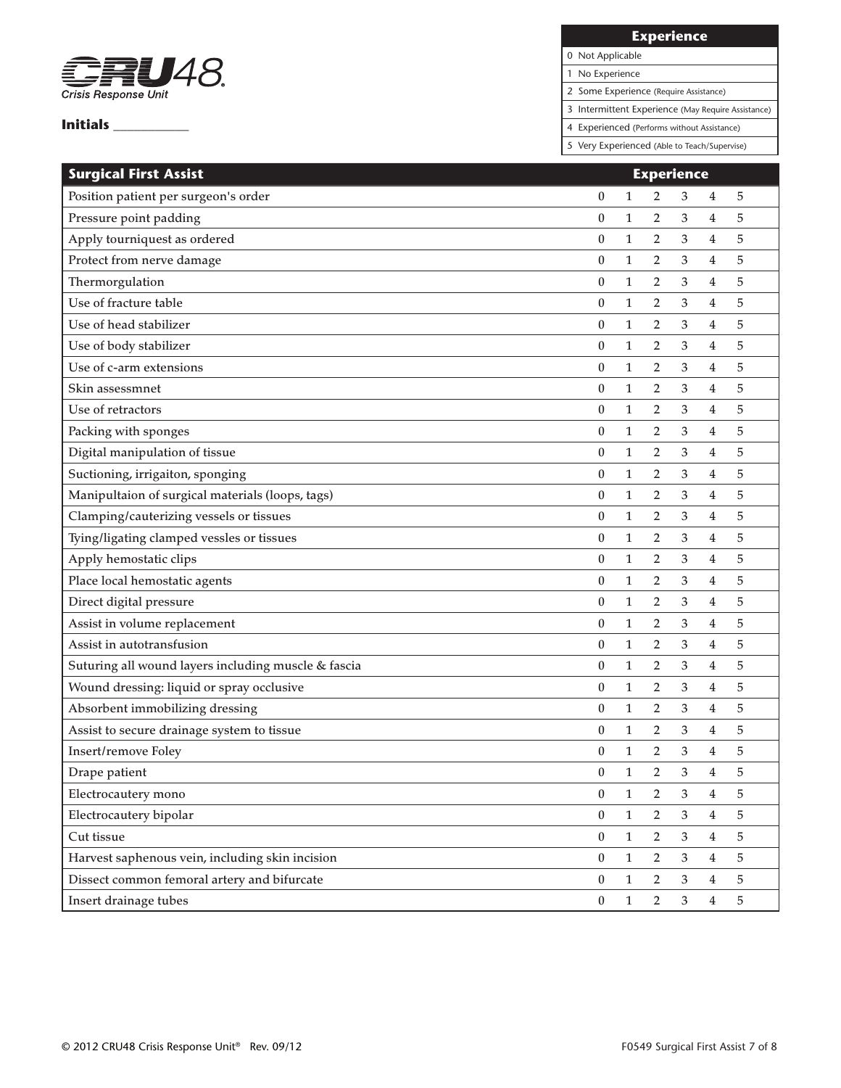

**Experience**

0 Not Applicable 1 No Experience

2 Some Experience (Require Assistance)

3 Intermittent Experience (May Require Assistance)

4 Experienced (Performs without Assistance)

| <b>Surgical First Assist</b>                        |                  |              | <b>Experience</b> |                |                |   |
|-----------------------------------------------------|------------------|--------------|-------------------|----------------|----------------|---|
| Position patient per surgeon's order                | 0                | 1            | 2                 | 3              | 4              | 5 |
| Pressure point padding                              | $\boldsymbol{0}$ | 1            | $\overline{2}$    | 3              | 4              | 5 |
| Apply tourniquest as ordered                        | $\boldsymbol{0}$ | 1            | 2                 | 3              | 4              | 5 |
| Protect from nerve damage                           | $\boldsymbol{0}$ | 1            | 2                 | 3              | 4              | 5 |
| Thermorgulation                                     | $\mathbf{0}$     | $\mathbf{1}$ | 2                 | 3              | 4              | 5 |
| Use of fracture table                               | $\boldsymbol{0}$ | 1            | 2                 | 3              | 4              | 5 |
| Use of head stabilizer                              | $\boldsymbol{0}$ | 1            | 2                 | 3              | $\overline{4}$ | 5 |
| Use of body stabilizer                              | $\boldsymbol{0}$ | 1            | 2                 | 3              | 4              | 5 |
| Use of c-arm extensions                             | $\boldsymbol{0}$ | 1            | $\overline{2}$    | 3              | 4              | 5 |
| Skin assessmnet                                     | $\mathbf{0}$     | $\mathbf{1}$ | 2                 | 3              | 4              | 5 |
| Use of retractors                                   | $\boldsymbol{0}$ | 1            | 2                 | 3              | 4              | 5 |
| Packing with sponges                                | $\boldsymbol{0}$ | 1            | $\overline{2}$    | 3              | $\overline{4}$ | 5 |
| Digital manipulation of tissue                      | $\boldsymbol{0}$ | $\mathbf{1}$ | 2                 | 3              | 4              | 5 |
| Suctioning, irrigaiton, sponging                    | $\boldsymbol{0}$ | 1            | 2                 | 3              | 4              | 5 |
| Manipultaion of surgical materials (loops, tags)    | $\boldsymbol{0}$ | 1            | 2                 | 3              | 4              | 5 |
| Clamping/cauterizing vessels or tissues             | $\boldsymbol{0}$ | $\mathbf{1}$ | 2                 | 3              | 4              | 5 |
| Tying/ligating clamped vessles or tissues           | $\boldsymbol{0}$ | $\mathbf{1}$ | 2                 | 3              | 4              | 5 |
| Apply hemostatic clips                              | $\boldsymbol{0}$ | 1            | 2                 | 3              | 4              | 5 |
| Place local hemostatic agents                       | $\boldsymbol{0}$ | 1            | 2                 | 3              | 4              | 5 |
| Direct digital pressure                             | $\boldsymbol{0}$ | $\mathbf{1}$ | 2                 | 3              | 4              | 5 |
| Assist in volume replacement                        | $\boldsymbol{0}$ | 1            | 2                 | 3              | 4              | 5 |
| Assist in autotransfusion                           | $\mathbf{0}$     | $\mathbf{1}$ | 2                 | 3              | 4              | 5 |
| Suturing all wound layers including muscle & fascia | $\boldsymbol{0}$ | 1            | 2                 | 3              | 4              | 5 |
| Wound dressing: liquid or spray occlusive           | $\boldsymbol{0}$ | 1            | 2                 | 3              | $\overline{4}$ | 5 |
| Absorbent immobilizing dressing                     | $\boldsymbol{0}$ | 1            | 2                 | 3              | $\overline{4}$ | 5 |
| Assist to secure drainage system to tissue          | $\boldsymbol{0}$ | 1            | 2                 | 3              | 4              | 5 |
| Insert/remove Foley                                 | $\mathbf{0}$     | $\mathbf{1}$ | $\overline{2}$    | 3              | 4              | 5 |
| Drape patient                                       | $\boldsymbol{0}$ | $\mathbf{1}$ | $\overline{2}$    | 3              | 4              | 5 |
| Electrocautery mono                                 | 0                | $\mathbf{1}$ | 2                 | 3              | $\overline{4}$ | 5 |
| Electrocautery bipolar                              | $\boldsymbol{0}$ | $\mathbf{1}$ | $\overline{2}$    | 3              | $\overline{4}$ | 5 |
| Cut tissue                                          | $\boldsymbol{0}$ | $\mathbf{1}$ | $\overline{2}$    | 3              | $\overline{4}$ | 5 |
| Harvest saphenous vein, including skin incision     | $\boldsymbol{0}$ | $\mathbf{1}$ | $\overline{2}$    | $\mathfrak{Z}$ | $\overline{4}$ | 5 |
| Dissect common femoral artery and bifurcate         | $\boldsymbol{0}$ | $\mathbf{1}$ | $\overline{2}$    | 3              | $\overline{4}$ | 5 |
| Insert drainage tubes                               | 0                | $\mathbf{1}$ | $\overline{2}$    | 3              | $\overline{4}$ | 5 |